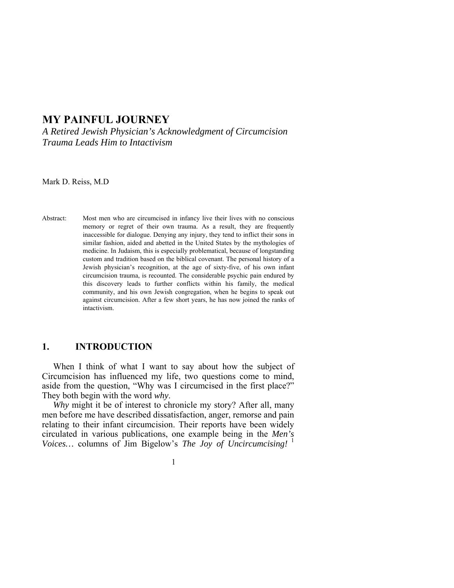# **MY PAINFUL JOURNEY**

*A Retired Jewish Physician's Acknowledgment of Circumcision Trauma Leads Him to Intactivism*

#### Mark D. Reiss, M.D

Abstract: Most men who are circumcised in infancy live their lives with no conscious memory or regret of their own trauma. As a result, they are frequently inaccessible for dialogue. Denying any injury, they tend to inflict their sons in similar fashion, aided and abetted in the United States by the mythologies of medicine. In Judaism, this is especially problematical, because of longstanding custom and tradition based on the biblical covenant. The personal history of a Jewish physician's recognition, at the age of sixty-five, of his own infant circumcision trauma, is recounted. The considerable psychic pain endured by this discovery leads to further conflicts within his family, the medical community, and his own Jewish congregation, when he begins to speak out against circumcision. After a few short years, he has now joined the ranks of intactivism.

#### **1. INTRODUCTION**

When I think of what I want to say about how the subject of Circumcision has influenced my life, two questions come to mind, aside from the question, "Why was I circumcised in the first place?" They both begin with the word *why*.

*Why* might it be of interest to chronicle my story? After all, many men before me have described dissatisfaction, anger, remorse and pain relating to their infant circumcision. Their reports have been widely circulated in various publications, one example being in the *Men's Voices…* columns of Jim Bigelow's *The Joy of Uncircumcising!*<sup>1</sup>

1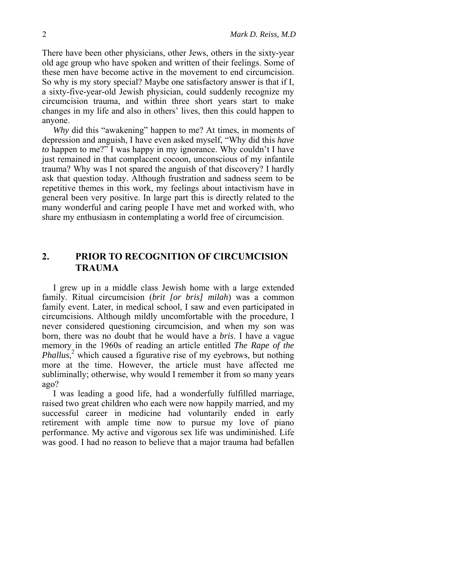There have been other physicians, other Jews, others in the sixty-year old age group who have spoken and written of their feelings. Some of these men have become active in the movement to end circumcision. So why is my story special? Maybe one satisfactory answer is that if I, a sixty-five-year-old Jewish physician, could suddenly recognize my circumcision trauma, and within three short years start to make changes in my life and also in others' lives, then this could happen to anyone.

*Why* did this "awakening" happen to me? At times, in moments of depression and anguish, I have even asked myself, "Why did this *have to* happen to me?" I was happy in my ignorance. Why couldn't I have just remained in that complacent cocoon, unconscious of my infantile trauma? Why was I not spared the anguish of that discovery? I hardly ask that question today. Although frustration and sadness seem to be repetitive themes in this work, my feelings about intactivism have in general been very positive. In large part this is directly related to the many wonderful and caring people I have met and worked with, who share my enthusiasm in contemplating a world free of circumcision.

### **2. PRIOR TO RECOGNITION OF CIRCUMCISION TRAUMA**

I grew up in a middle class Jewish home with a large extended family. Ritual circumcision (*brit [or bris] milah*) was a common family event. Later, in medical school, I saw and even participated in circumcisions. Although mildly uncomfortable with the procedure, I never considered questioning circumcision, and when my son was born, there was no doubt that he would have a *bris*. I have a vague memory in the 1960s of reading an article entitled *The Rape of the Phallus*<sup>2</sup>, which caused a figurative rise of my eyebrows, but nothing more at the time. However, the article must have affected me subliminally; otherwise, why would I remember it from so many years ago?

I was leading a good life, had a wonderfully fulfilled marriage, raised two great children who each were now happily married, and my successful career in medicine had voluntarily ended in early retirement with ample time now to pursue my love of piano performance. My active and vigorous sex life was undiminished. Life was good. I had no reason to believe that a major trauma had befallen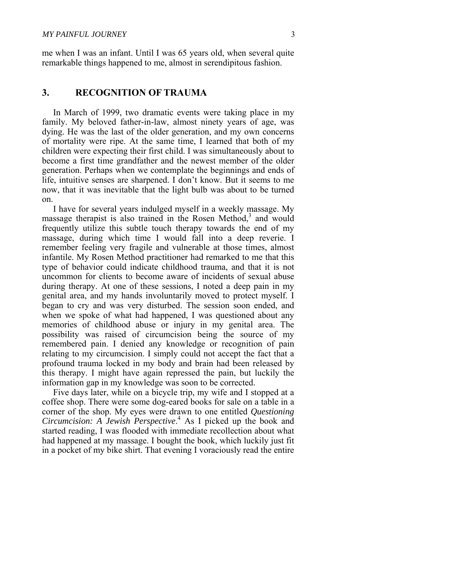#### **3. RECOGNITION OF TRAUMA**

In March of 1999, two dramatic events were taking place in my family. My beloved father-in-law, almost ninety years of age, was dying. He was the last of the older generation, and my own concerns of mortality were ripe. At the same time, I learned that both of my children were expecting their first child. I was simultaneously about to become a first time grandfather and the newest member of the older generation. Perhaps when we contemplate the beginnings and ends of life, intuitive senses are sharpened. I don't know. But it seems to me now, that it was inevitable that the light bulb was about to be turned on.

I have for several years indulged myself in a weekly massage. My massage therapist is also trained in the Rosen Method,<sup>3</sup> and would frequently utilize this subtle touch therapy towards the end of my massage, during which time I would fall into a deep reverie. I remember feeling very fragile and vulnerable at those times, almost infantile. My Rosen Method practitioner had remarked to me that this type of behavior could indicate childhood trauma, and that it is not uncommon for clients to become aware of incidents of sexual abuse during therapy. At one of these sessions, I noted a deep pain in my genital area, and my hands involuntarily moved to protect myself. I began to cry and was very disturbed. The session soon ended, and when we spoke of what had happened, I was questioned about any memories of childhood abuse or injury in my genital area. The possibility was raised of circumcision being the source of my remembered pain. I denied any knowledge or recognition of pain relating to my circumcision. I simply could not accept the fact that a profound trauma locked in my body and brain had been released by this therapy. I might have again repressed the pain, but luckily the information gap in my knowledge was soon to be corrected.

Five days later, while on a bicycle trip, my wife and I stopped at a coffee shop. There were some dog-eared books for sale on a table in a corner of the shop. My eyes were drawn to one entitled *Questioning Circumcision: A Jewish Perspective*. 4 As I picked up the book and started reading, I was flooded with immediate recollection about what had happened at my massage. I bought the book, which luckily just fit in a pocket of my bike shirt. That evening I voraciously read the entire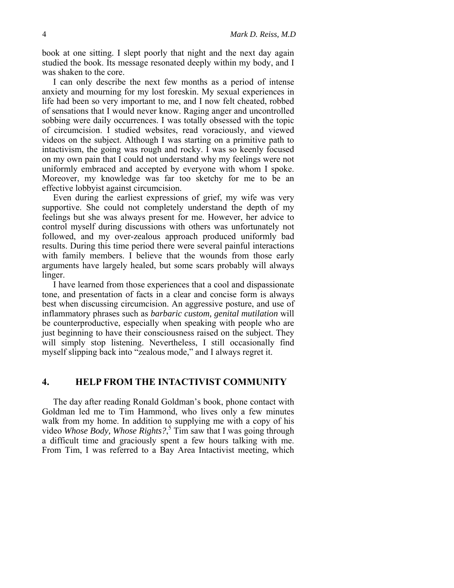book at one sitting. I slept poorly that night and the next day again studied the book. Its message resonated deeply within my body, and I was shaken to the core.

I can only describe the next few months as a period of intense anxiety and mourning for my lost foreskin. My sexual experiences in life had been so very important to me, and I now felt cheated, robbed of sensations that I would never know. Raging anger and uncontrolled sobbing were daily occurrences. I was totally obsessed with the topic of circumcision. I studied websites, read voraciously, and viewed videos on the subject. Although I was starting on a primitive path to intactivism, the going was rough and rocky. I was so keenly focused on my own pain that I could not understand why my feelings were not uniformly embraced and accepted by everyone with whom I spoke. Moreover, my knowledge was far too sketchy for me to be an effective lobbyist against circumcision.

Even during the earliest expressions of grief, my wife was very supportive. She could not completely understand the depth of my feelings but she was always present for me. However, her advice to control myself during discussions with others was unfortunately not followed, and my over-zealous approach produced uniformly bad results. During this time period there were several painful interactions with family members. I believe that the wounds from those early arguments have largely healed, but some scars probably will always linger.

I have learned from those experiences that a cool and dispassionate tone, and presentation of facts in a clear and concise form is always best when discussing circumcision. An aggressive posture, and use of inflammatory phrases such as *barbaric custom, genital mutilation* will be counterproductive, especially when speaking with people who are just beginning to have their consciousness raised on the subject. They will simply stop listening. Nevertheless, I still occasionally find myself slipping back into "zealous mode," and I always regret it.

#### **4. HELP FROM THE INTACTIVIST COMMUNITY**

The day after reading Ronald Goldman's book, phone contact with Goldman led me to Tim Hammond, who lives only a few minutes walk from my home. In addition to supplying me with a copy of his video *Whose Body, Whose Rights*?,<sup>5</sup> Tim saw that I was going through a difficult time and graciously spent a few hours talking with me. From Tim, I was referred to a Bay Area Intactivist meeting, which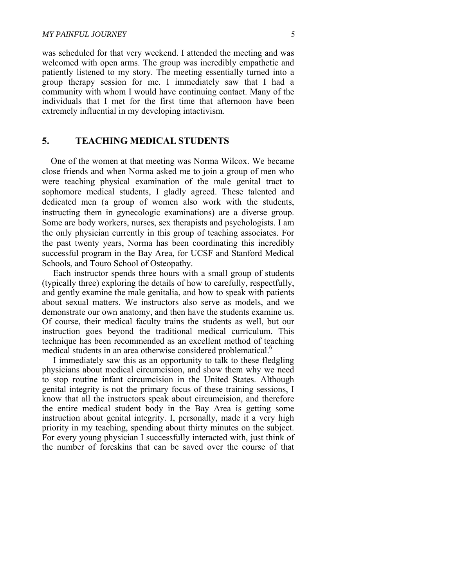was scheduled for that very weekend. I attended the meeting and was welcomed with open arms. The group was incredibly empathetic and patiently listened to my story. The meeting essentially turned into a group therapy session for me. I immediately saw that I had a community with whom I would have continuing contact. Many of the individuals that I met for the first time that afternoon have been extremely influential in my developing intactivism.

### **5. TEACHING MEDICAL STUDENTS**

One of the women at that meeting was Norma Wilcox. We became close friends and when Norma asked me to join a group of men who were teaching physical examination of the male genital tract to sophomore medical students, I gladly agreed. These talented and dedicated men (a group of women also work with the students, instructing them in gynecologic examinations) are a diverse group. Some are body workers, nurses, sex therapists and psychologists. I am the only physician currently in this group of teaching associates. For the past twenty years, Norma has been coordinating this incredibly successful program in the Bay Area, for UCSF and Stanford Medical Schools, and Touro School of Osteopathy.

Each instructor spends three hours with a small group of students (typically three) exploring the details of how to carefully, respectfully, and gently examine the male genitalia, and how to speak with patients about sexual matters. We instructors also serve as models, and we demonstrate our own anatomy, and then have the students examine us. Of course, their medical faculty trains the students as well, but our instruction goes beyond the traditional medical curriculum. This technique has been recommended as an excellent method of teaching medical students in an area otherwise considered problematical.<sup>6</sup>

I immediately saw this as an opportunity to talk to these fledgling physicians about medical circumcision, and show them why we need to stop routine infant circumcision in the United States. Although genital integrity is not the primary focus of these training sessions, I know that all the instructors speak about circumcision, and therefore the entire medical student body in the Bay Area is getting some instruction about genital integrity. I, personally, made it a very high priority in my teaching, spending about thirty minutes on the subject. For every young physician I successfully interacted with, just think of the number of foreskins that can be saved over the course of that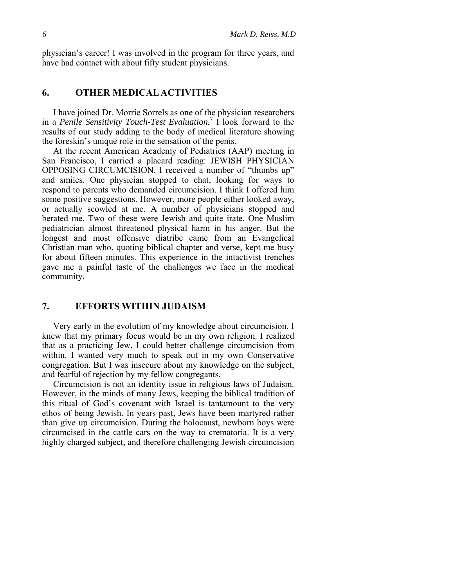physician's career! I was involved in the program for three years, and have had contact with about fifty student physicians.

#### **6. OTHER MEDICAL ACTIVITIES**

I have joined Dr. Morrie Sorrels as one of the physician researchers in a *Penile Sensitivity Touch-Test Evaluation.*<sup>7</sup> I look forward to the results of our study adding to the body of medical literature showing the foreskin's unique role in the sensation of the penis.

At the recent American Academy of Pediatrics (AAP) meeting in San Francisco, I carried a placard reading: JEWISH PHYSICIAN OPPOSING CIRCUMCISION. I received a number of "thumbs up" and smiles. One physician stopped to chat, looking for ways to respond to parents who demanded circumcision. I think I offered him some positive suggestions. However, more people either looked away, or actually scowled at me. A number of physicians stopped and berated me. Two of these were Jewish and quite irate. One Muslim pediatrician almost threatened physical harm in his anger. But the longest and most offensive diatribe came from an Evangelical Christian man who, quoting biblical chapter and verse, kept me busy for about fifteen minutes. This experience in the intactivist trenches gave me a painful taste of the challenges we face in the medical community.

### **7. EFFORTS WITHIN JUDAISM**

Very early in the evolution of my knowledge about circumcision, I knew that my primary focus would be in my own religion. I realized that as a practicing Jew, I could better challenge circumcision from within. I wanted very much to speak out in my own Conservative congregation. But I was insecure about my knowledge on the subject, and fearful of rejection by my fellow congregants.

Circumcision is not an identity issue in religious laws of Judaism. However, in the minds of many Jews, keeping the biblical tradition of this ritual of God's covenant with Israel is tantamount to the very ethos of being Jewish. In years past, Jews have been martyred rather than give up circumcision. During the holocaust, newborn boys were circumcised in the cattle cars on the way to crematoria. It is a very highly charged subject, and therefore challenging Jewish circumcision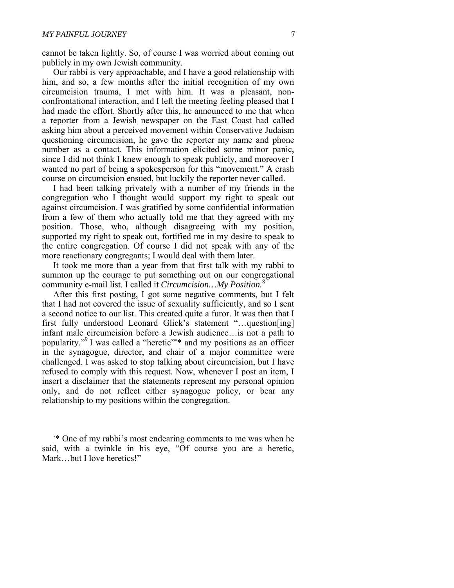cannot be taken lightly. So, of course I was worried about coming out publicly in my own Jewish community.

Our rabbi is very approachable, and I have a good relationship with him, and so, a few months after the initial recognition of my own circumcision trauma, I met with him. It was a pleasant, nonconfrontational interaction, and I left the meeting feeling pleased that I had made the effort. Shortly after this, he announced to me that when a reporter from a Jewish newspaper on the East Coast had called asking him about a perceived movement within Conservative Judaism questioning circumcision, he gave the reporter my name and phone number as a contact. This information elicited some minor panic, since I did not think I knew enough to speak publicly, and moreover I wanted no part of being a spokesperson for this "movement." A crash course on circumcision ensued, but luckily the reporter never called.

I had been talking privately with a number of my friends in the congregation who I thought would support my right to speak out against circumcision. I was gratified by some confidential information from a few of them who actually told me that they agreed with my position. Those, who, although disagreeing with my position, supported my right to speak out, fortified me in my desire to speak to the entire congregation. Of course I did not speak with any of the more reactionary congregants; I would deal with them later.

It took me more than a year from that first talk with my rabbi to summon up the courage to put something out on our congregational community e-mail list. I called it *Circumcision…My Position.*<sup>8</sup>

After this first posting, I got some negative comments, but I felt that I had not covered the issue of sexuality sufficiently, and so I sent a second notice to our list. This created quite a furor. It was then that I first fully understood Leonard Glick's statement "…question[ing] infant male circumcision before a Jewish audience…is not a path to popularity."9 I was called a "heretic"\* \* and my positions as an officer in the synagogue, director, and chair of a major committee were challenged. I was asked to stop talking about circumcision, but I have refused to comply with this request. Now, whenever I post an item, I insert a disclaimer that the statements represent my personal opinion only, and do not reflect either synagogue policy, or bear any relationship to my positions within the congregation.

\*\* One of my rabbi's most endearing comments to me was when he said, with a twinkle in his eye, "Of course you are a heretic, Mark…but I love heretics!"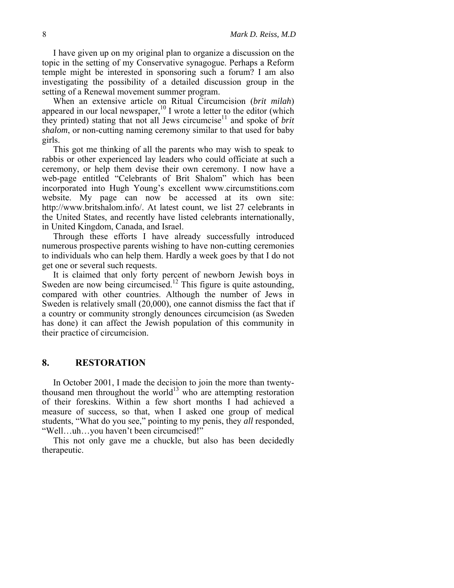I have given up on my original plan to organize a discussion on the topic in the setting of my Conservative synagogue. Perhaps a Reform temple might be interested in sponsoring such a forum? I am also investigating the possibility of a detailed discussion group in the setting of a Renewal movement summer program.

When an extensive article on Ritual Circumcision (*brit milah*) appeared in our local newspaper,<sup>10</sup> I wrote a letter to the editor (which they printed) stating that not all Jews circumcise<sup>11</sup> and spoke of *brit shalom*, or non-cutting naming ceremony similar to that used for baby girls.

This got me thinking of all the parents who may wish to speak to rabbis or other experienced lay leaders who could officiate at such a ceremony, or help them devise their own ceremony. I now have a web-page entitled "Celebrants of Brit Shalom" which has been incorporated into Hugh Young's excellent www.circumstitions.com website. My page can now be accessed at its own site: http://www.britshalom.info/. At latest count, we list 27 celebrants in the United States, and recently have listed celebrants internationally, in United Kingdom, Canada, and Israel.

Through these efforts I have already successfully introduced numerous prospective parents wishing to have non-cutting ceremonies to individuals who can help them. Hardly a week goes by that I do not get one or several such requests.

It is claimed that only forty percent of newborn Jewish boys in Sweden are now being circumcised.<sup>12</sup> This figure is quite astounding, compared with other countries. Although the number of Jews in Sweden is relatively small (20,000), one cannot dismiss the fact that if a country or community strongly denounces circumcision (as Sweden has done) it can affect the Jewish population of this community in their practice of circumcision.

#### **8. RESTORATION**

In October 2001, I made the decision to join the more than twentythousand men throughout the world<sup>13</sup> who are attempting restoration of their foreskins. Within a few short months I had achieved a measure of success, so that, when I asked one group of medical students, "What do you see," pointing to my penis, they *all* responded, "Well…uh…you haven't been circumcised!"

This not only gave me a chuckle, but also has been decidedly therapeutic.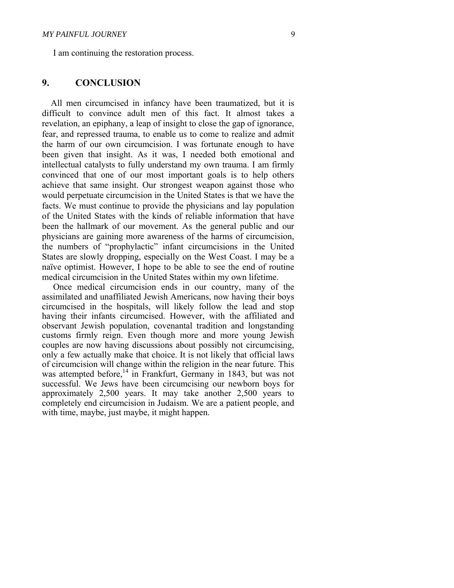I am continuing the restoration process.

### **9. CONCLUSION**

All men circumcised in infancy have been traumatized, but it is difficult to convince adult men of this fact. It almost takes a revelation, an epiphany, a leap of insight to close the gap of ignorance, fear, and repressed trauma, to enable us to come to realize and admit the harm of our own circumcision. I was fortunate enough to have been given that insight. As it was, I needed both emotional and intellectual catalysts to fully understand my own trauma. I am firmly convinced that one of our most important goals is to help others achieve that same insight. Our strongest weapon against those who would perpetuate circumcision in the United States is that we have the facts. We must continue to provide the physicians and lay population of the United States with the kinds of reliable information that have been the hallmark of our movement. As the general public and our physicians are gaining more awareness of the harms of circumcision, the numbers of "prophylactic" infant circumcisions in the United States are slowly dropping, especially on the West Coast. I may be a naïve optimist. However, I hope to be able to see the end of routine medical circumcision in the United States within my own lifetime.

Once medical circumcision ends in our country, many of the assimilated and unaffiliated Jewish Americans, now having their boys circumcised in the hospitals, will likely follow the lead and stop having their infants circumcised. However, with the affiliated and observant Jewish population, covenantal tradition and longstanding customs firmly reign. Even though more and more young Jewish couples are now having discussions about possibly not circumcising, only a few actually make that choice. It is not likely that official laws of circumcision will change within the religion in the near future. This was attempted before, $^{14}$  in Frankfurt, Germany in 1843, but was not successful. We Jews have been circumcising our newborn boys for approximately 2,500 years. It may take another 2,500 years to completely end circumcision in Judaism. We are a patient people, and with time, maybe, just maybe, it might happen.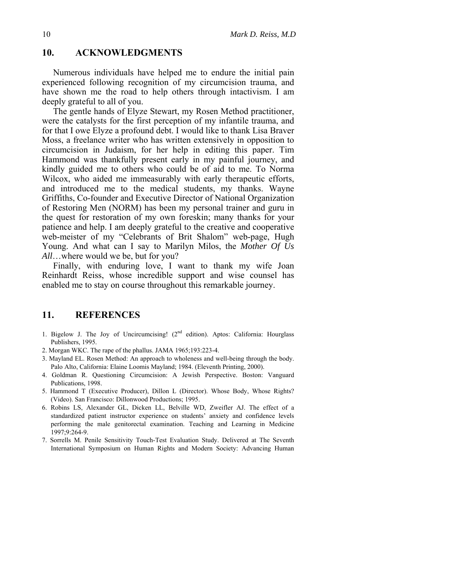#### **10. ACKNOWLEDGMENTS**

Numerous individuals have helped me to endure the initial pain experienced following recognition of my circumcision trauma, and have shown me the road to help others through intactivism. I am deeply grateful to all of you.

The gentle hands of Elyze Stewart, my Rosen Method practitioner, were the catalysts for the first perception of my infantile trauma, and for that I owe Elyze a profound debt. I would like to thank Lisa Braver Moss, a freelance writer who has written extensively in opposition to circumcision in Judaism, for her help in editing this paper. Tim Hammond was thankfully present early in my painful journey, and kindly guided me to others who could be of aid to me. To Norma Wilcox, who aided me immeasurably with early therapeutic efforts, and introduced me to the medical students, my thanks. Wayne Griffiths, Co-founder and Executive Director of National Organization of Restoring Men (NORM) has been my personal trainer and guru in the quest for restoration of my own foreskin; many thanks for your patience and help. I am deeply grateful to the creative and cooperative web-meister of my "Celebrants of Brit Shalom" web-page, Hugh Young. And what can I say to Marilyn Milos, the *Mother Of Us All*…where would we be, but for you?

Finally, with enduring love, I want to thank my wife Joan Reinhardt Reiss, whose incredible support and wise counsel has enabled me to stay on course throughout this remarkable journey.

### **11. REFERENCES**

- 1. Bigelow J. The Joy of Uncircumcising!  $(2<sup>nd</sup>$  edition). Aptos: California: Hourglass Publishers, 1995.
- 2. Morgan WKC. The rape of the phallus. JAMA 1965;193:223-4.
- 3. Mayland EL. Rosen Method: An approach to wholeness and well-being through the body. Palo Alto, California: Elaine Loomis Mayland; 1984. (Eleventh Printing, 2000).
- 4. Goldman R. Questioning Circumcision: A Jewish Perspective. Boston: Vanguard Publications, 1998.
- 5. Hammond T (Executive Producer), Dillon L (Director). Whose Body, Whose Rights? (Video). San Francisco: Dillonwood Productions; 1995.
- 6. Robins LS, Alexander GL, Dicken LL, Belville WD, Zweifler AJ. The effect of a standardized patient instructor experience on students' anxiety and confidence levels performing the male genitorectal examination. Teaching and Learning in Medicine 1997;9:264-9.
- 7. Sorrells M. Penile Sensitivity Touch-Test Evaluation Study. Delivered at The Seventh International Symposium on Human Rights and Modern Society: Advancing Human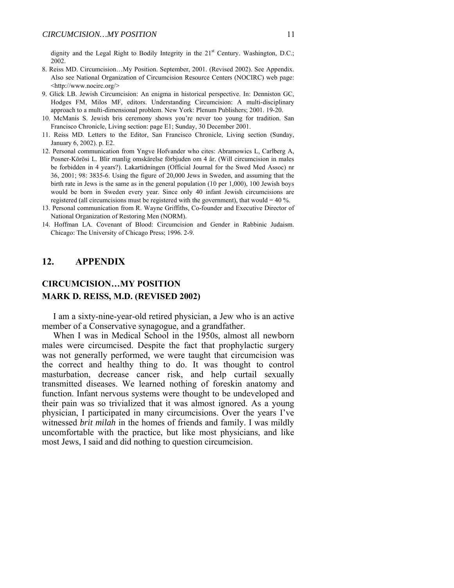dignity and the Legal Right to Bodily Integrity in the  $21<sup>st</sup>$  Century. Washington, D.C.; 2002.

- 8. Reiss MD. Circumcision…My Position. September, 2001. (Revised 2002). See Appendix. Also see National Organization of Circumcision Resource Centers (NOCIRC) web page: <http://www.nocirc.org/>
- 9. Glick LB. Jewish Circumcision: An enigma in historical perspective. In: Denniston GC, Hodges FM, Milos MF, editors. Understanding Circumcision: A multi-disciplinary approach to a multi-dimensional problem. New York: Plenum Publishers; 2001. 19-20.
- 10. McManis S. Jewish bris ceremony shows you're never too young for tradition. San Francisco Chronicle, Living section: page E1; Sunday, 30 December 2001.
- 11. Reiss MD. Letters to the Editor, San Francisco Chronicle, Living section (Sunday, January 6, 2002). p. E2.
- 12. Personal communication from Yngve Hofvander who cites: Abramowics L, Carlberg A, Posner-Körösi L. Blir manlig omskärelse förbjuden om 4 år. (Will circumcision in males be forbidden in 4 years?). Lakartidningen (Official Journal for the Swed Med Assoc) nr 36, 2001; 98: 3835-6. Using the figure of 20,000 Jews in Sweden, and assuming that the birth rate in Jews is the same as in the general population (10 per 1,000), 100 Jewish boys would be born in Sweden every year. Since only 40 infant Jewish circumcisions are registered (all circumcisions must be registered with the government), that would =  $40\%$ .
- 13. Personal communication from R. Wayne Griffiths, Co-founder and Executive Director of National Organization of Restoring Men (NORM).
- 14. Hoffman LA. Covenant of Blood: Circumcision and Gender in Rabbinic Judaism. Chicago: The University of Chicago Press; 1996. 2-9.

#### **12. APPENDIX**

## **CIRCUMCISION…MY POSITION MARK D. REISS, M.D. (REVISED 2002)**

I am a sixty-nine-year-old retired physician, a Jew who is an active member of a Conservative synagogue, and a grandfather.

When I was in Medical School in the 1950s, almost all newborn males were circumcised. Despite the fact that prophylactic surgery was not generally performed, we were taught that circumcision was the correct and healthy thing to do. It was thought to control masturbation, decrease cancer risk, and help curtail sexually transmitted diseases. We learned nothing of foreskin anatomy and function. Infant nervous systems were thought to be undeveloped and their pain was so trivialized that it was almost ignored. As a young physician, I participated in many circumcisions. Over the years I've witnessed *brit milah* in the homes of friends and family. I was mildly uncomfortable with the practice, but like most physicians, and like most Jews, I said and did nothing to question circumcision.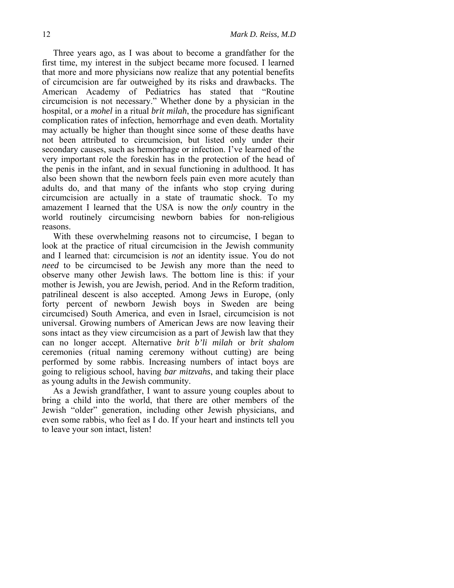Three years ago, as I was about to become a grandfather for the first time, my interest in the subject became more focused. I learned that more and more physicians now realize that any potential benefits of circumcision are far outweighed by its risks and drawbacks. The American Academy of Pediatrics has stated that "Routine circumcision is not necessary." Whether done by a physician in the hospital, or a *mohel* in a ritual *brit milah*, the procedure has significant complication rates of infection, hemorrhage and even death. Mortality may actually be higher than thought since some of these deaths have not been attributed to circumcision, but listed only under their secondary causes, such as hemorrhage or infection. I've learned of the very important role the foreskin has in the protection of the head of the penis in the infant, and in sexual functioning in adulthood. It has also been shown that the newborn feels pain even more acutely than adults do, and that many of the infants who stop crying during circumcision are actually in a state of traumatic shock. To my amazement I learned that the USA is now the *only* country in the world routinely circumcising newborn babies for non-religious reasons.

With these overwhelming reasons not to circumcise, I began to look at the practice of ritual circumcision in the Jewish community and I learned that: circumcision is *not* an identity issue. You do not *need* to be circumcised to be Jewish any more than the need to observe many other Jewish laws. The bottom line is this: if your mother is Jewish, you are Jewish, period. And in the Reform tradition, patrilineal descent is also accepted. Among Jews in Europe, (only forty percent of newborn Jewish boys in Sweden are being circumcised) South America, and even in Israel, circumcision is not universal. Growing numbers of American Jews are now leaving their sons intact as they view circumcision as a part of Jewish law that they can no longer accept. Alternative *brit b'li milah* or *brit shalom*  ceremonies (ritual naming ceremony without cutting) are being performed by some rabbis. Increasing numbers of intact boys are going to religious school, having *bar mitzvahs*, and taking their place as young adults in the Jewish community.

As a Jewish grandfather, I want to assure young couples about to bring a child into the world, that there are other members of the Jewish "older" generation, including other Jewish physicians, and even some rabbis, who feel as I do. If your heart and instincts tell you to leave your son intact, listen!